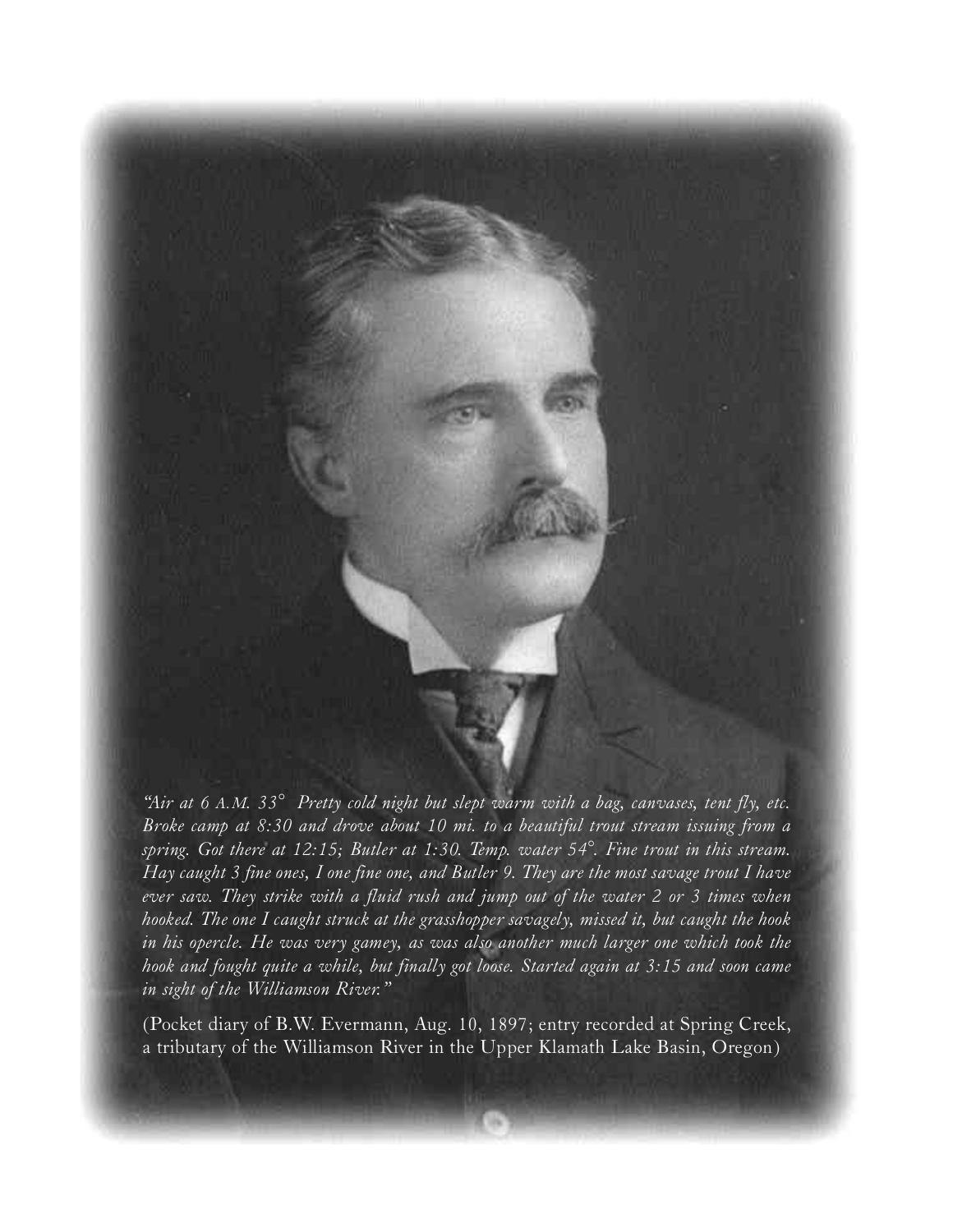

*"Air at 6 A. M. 33° Pretty cold night but slept warm with a bag, canvases, tent fly, etc. Broke camp at 8:30 and drove about 10 mi. to a beautiful trout stream issuing from a spring.* Got there at 12:15; Butler at 1:30. Temp. water 54°. Fine trout in this stream. *Hay caught 3 fine ones, I one fine one, and Butler 9. They are the most savage trout I have ever saw. They strike with a fluid rush and jump out of the water 2 or 3 times when h o o ked. The one I caught struck at the grasshopper savagely, missed it, but caught the hook in his opercle. He was very gamey, as was also another much larger one which took the hook and fought quite a while, but finally got loose. Started again at 3:15 and soon came in sight of the Williamson River."* 

(Pocket diary of B.W. Evermann, Aug. 10, 1897; entry recorded at Spring Creek, a tributary of the Williamson River in the Upper Klamath Lake Basin, Oregon)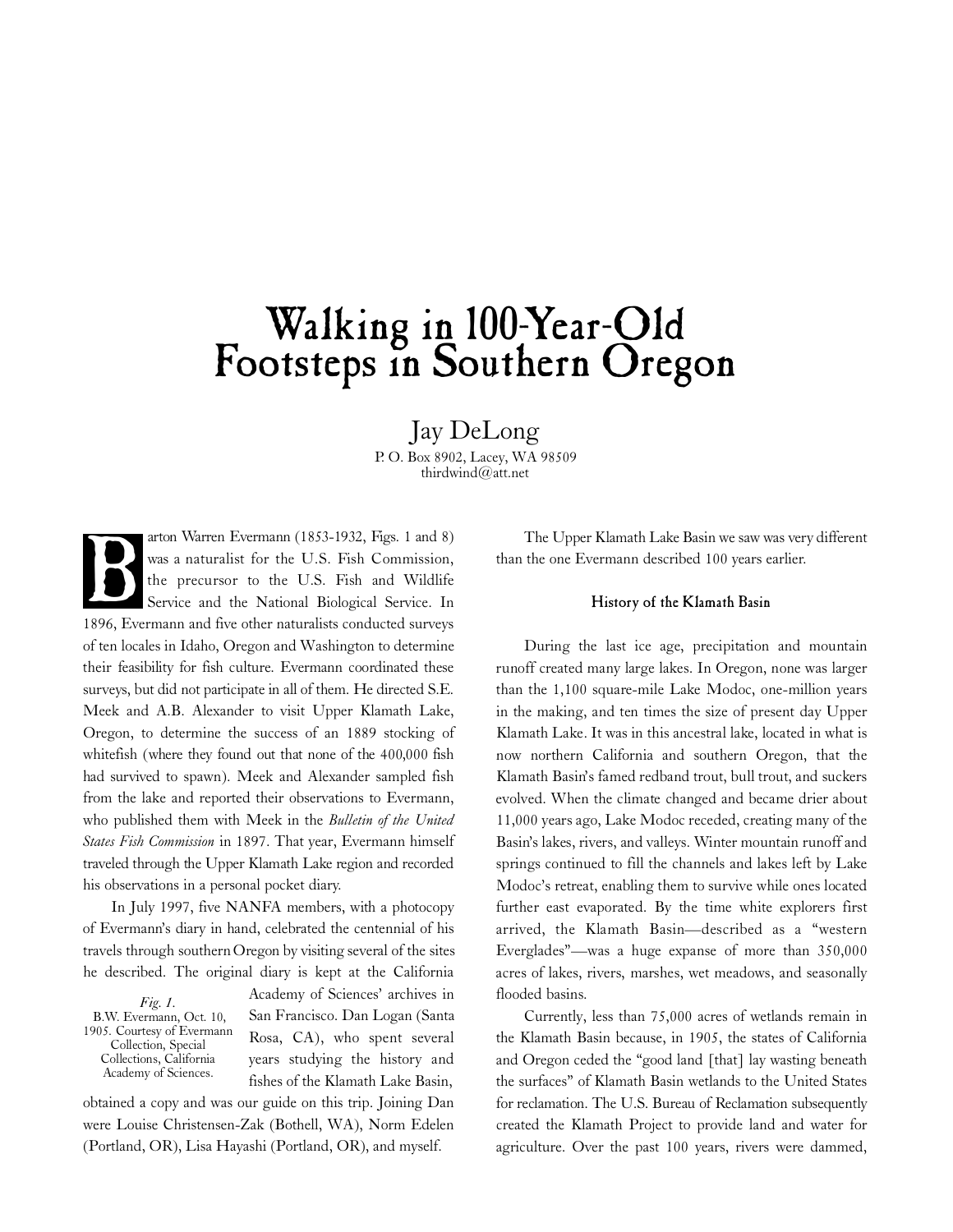# Walking in 100-Year-Old Footsteps in Southern Oregon

Jay DeLong

P. O. Box 8902, Lacey, WA 98509 thirdwind@att.net

arton Warren Evermann (1853-1932, Figs. 1 and 8) was a naturalist for the U.S. Fish Commission, the precursor to the U.S. Fish and Wildlife Service and the National Biological Service. In arton warren Evermann (1853-1932, Figs. 1 and 8)<br>was a naturalist for the U.S. Fish Commission,<br>the precursor to the U.S. Fish and Wildlife<br>Service and the National Biological Service. In<br>1896, Evermann and five other natu of ten locales in Idaho, Oregon and Washington to determine their feasibility for fish culture. Evermann coordinated these surveys, but did not participate in all of them. He directed S.E. Meek and A.B. Alexander to visit Upper Klamath Lake, Oregon, to determine the success of an 1889 stocking of whitefish (where they found out that none of the 400,000 fish had survived to spawn). Meek and Alexander sampled fish from the lake and reported their observations to Evermann, who published them with Meek in the *Bulletin of the United States Fish Commission* in 1897. That year, Evermann himself traveled through the Upper Klamath Lake region and recorded his observations in a personal pocket diary.

In July 1997, five NANFA members, with a photocopy of Evermann's diary in hand, celebrated the centennial of his travels through southern Oregon by visiting several of the sites he described. The original diary is kept at the California

*Fig. 1.* B.W. Evermann, Oct. 10, 1905. Courtesy of Evermann Collection, Special Collections, California Academy of Sciences.

Academy of Sciences' archives in San Francisco. Dan Logan (Santa Rosa, CA), who spent several years studying the history and fishes of the Klamath Lake Basin,

obtained a copy and was our guide on this trip. Joining Dan were Louise Christensen-Zak (Bothell, WA), Norm Edelen (Portland, OR), Lisa Hayashi (Portland, OR), and myself.

The Upper Klamath Lake Basin we saw was very different than the one Evermann described 100 years earlier.

### History of the Klamath Basin

During the last ice age, precipitation and mountain runoff created many large lakes. In Oregon, none was larger than the 1,100 square-mile Lake Modoc, one-million years in the making, and ten times the size of present day Upper Klamath Lake. It was in this ancestral lake, located in what is now northern California and southern Oregon, that the Klamath Basin's famed redband trout, bull trout, and suckers evolved. When the climate changed and became drier about 11,000 years ago, Lake Modoc receded, creating many of the Basin's lakes, rivers, and valleys. Winter mountain runoff and springs continued to fill the channels and lakes left by Lake Modoc's retreat, enabling them to survive while ones located further east evaporated. By the time white explorers first arrived, the Klamath Basin-described as a "western Everglades"—was a huge expanse of more than 350,000 acres of lakes, rivers, marshes, wet meadows, and seasonally flooded basins.

Currently, less than 75,000 acres of wetlands remain in the Klamath Basin because, in 1905, the states of California and Oregon ceded the "good land [that] lay wasting beneath the surfaces" of Klamath Basin wetlands to the United States for reclamation. The U.S. Bureau of Reclamation subsequently created the Klamath Project to provide land and water for agriculture. Over the past 100 years, rivers were dammed,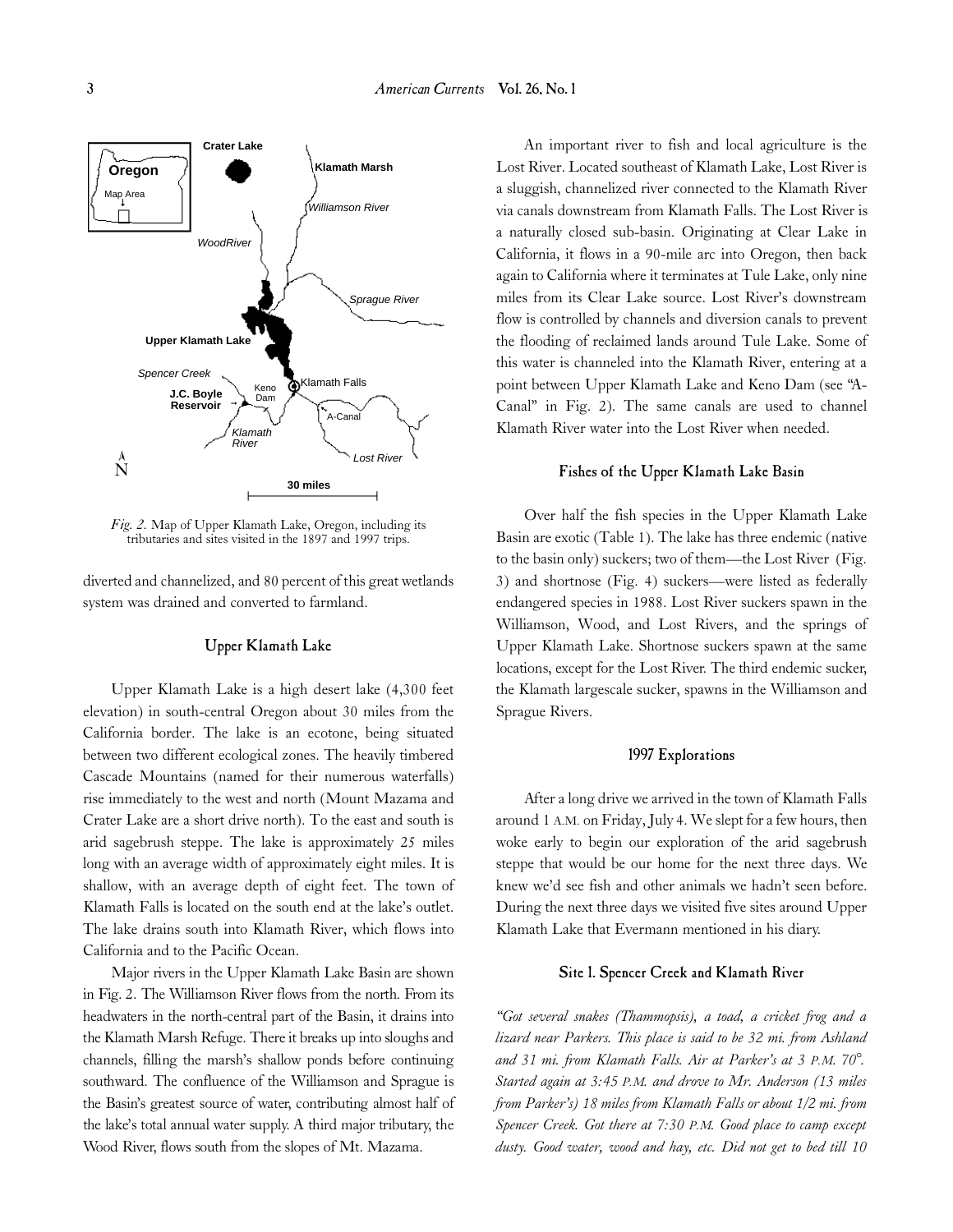

*Fig. 2.* Map of Upper Klamath Lake, Oregon, including its tributaries and sites visited in the 1897 and 1997 trips.

diverted and channelized, and 80 percent of this great wetlands system was drained and converted to farmland.

# Upper Klamath Lake

Upper Klamath Lake is a high desert lake (4,300 feet elevation) in south-central Oregon about 30 miles from the California border. The lake is an ecotone, being situated between two different ecological zones. The heavily timbered Cascade Mountains (named for their numerous waterfalls) rise immediately to the west and north (Mount Mazama and Crater Lake are a short drive north). To the east and south is arid sagebrush steppe. The lake is approximately 25 miles long with an average width of approximately eight miles. It is shallow, with an average depth of eight feet. The town of Klamath Falls is located on the south end at the lake's outlet. The lake drains south into Klamath River, which flows into California and to the Pacific Ocean.

Major rivers in the Upper Klamath Lake Basin are shown in Fig. 2. The Williamson River flows from the north. From its headwaters in the north-central part of the Basin, it drains into the Klamath Marsh Refuge. There it breaks up into sloughs and channels, filling the marsh's shallow ponds before continuing southward. The confluence of the Williamson and Sprague is the Basin's greatest source of water, contributing almost half of the lake's total annual water supply. A third major tributary, the Wood River, flows south from the slopes of Mt. Mazama.

An important river to fish and local agriculture is the Lost River. Located southeast of Klamath Lake, Lost River is a sluggish, channelized river connected to the Klamath River via canals downstream from Klamath Falls. The Lost River is a naturally closed sub-basin. Originating at Clear Lake in California, it flows in a 90-mile arc into Oregon, then back again to California where it terminates at Tule Lake, only nine miles from its Clear Lake source. Lost River's downstream flow is controlled by channels and diversion canals to prevent the flooding of reclaimed lands around Tule Lake. Some of this water is channeled into the Klamath River, entering at a point between Upper Klamath Lake and Keno Dam (see "A-Canal" in Fig. 2). The same canals are used to channel Klamath River water into the Lost River when needed.

# Fishes of the Upper Klamath Lake Basin

Over half the fish species in the Upper Klamath Lake Basin are exotic (Table 1). The lake has three endemic (native to the basin only) suckers; two of them—the Lost River (Fig. 3) and shortnose (Fig. 4) suckers—were listed as federally endangered species in 1988. Lost River suckers spawn in the Williamson, Wood, and Lost Rivers, and the springs of Upper Klamath Lake. Shortnose suckers spawn at the same locations, except for the Lost River. The third endemic sucker, the Klamath largescale sucker, spawns in the Williamson and Sprague Rivers.

# 1997 Explorations

After a long drive we arrived in the town of Klamath Falls around 1 A.M. on Friday, July 4. We slept for a few hours, then woke early to begin our exploration of the arid sagebrush steppe that would be our home for the next three days. We knew we'd see fish and other animals we hadn't seen before. During the next three days we visited five sites around Upper Klamath Lake that Evermann mentioned in his diary.

# Site 1. Spencer Creek and Klamath River

*"Got several snakes (Thammopsis), a toad, a cricket frog and a lizard near Parkers. This place is said to be 32 mi. from Ashland and 31 mi. from Klamath Falls. Air at Parker's at 3 P.M. 70°. Started again at 3:45 P.M. and drove to Mr. Anderson (13 miles from Parker's) 18 miles from Klamath Falls or about 1/2 mi. from Spencer Creek. Got there at 7:30 P.M. Good place to camp except dusty. Good water, wood and hay, etc. Did not get to bed till 10*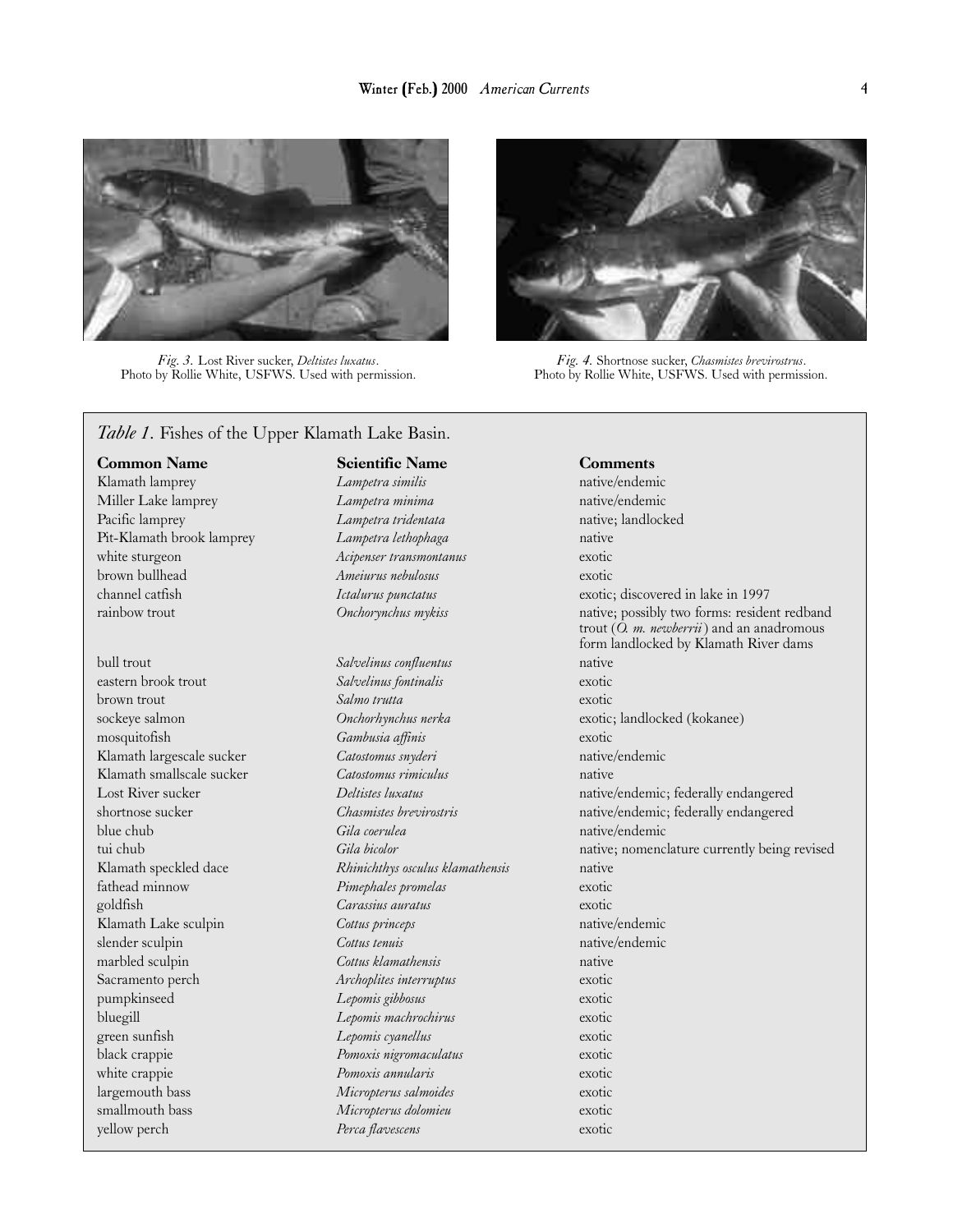

*Fig. 3.* Lost River sucker, *Deltistes luxatus*. Photo by Rollie White, USFWS. Used with permission.



*Fig. 4.* Shortnose sucker, *Chasmistes brevirostrus*. Photo by Rollie White, USFWS. Used with permission.

# *Table 1.* Fishes of the Upper Klamath Lake Basin.

Common Name Scientific Name Comments

Klamath lamprey *Lampetra similis* native/endemic Miller Lake lamprey *Lampetra minima* native/endemic Pacific lamprey *Lampetra tridentata* native; landlocked Pit-Klamath brook lamprey *Lampetra lethophaga* native white sturgeon *Acipenser transmontanus* exotic brown bullhead *Ameiurus nebulosus* exotic

Klamath Lake sculpin *Cottus princeps* 

bull trout *Salvelinus confluentus* native eastern brook trout *Salvelinus fontinalis* exotic brown trout *Salmo trutta* exotic mosquitofish *Gambusia affinis* exotic Klamath largescale sucker *Catostomus snyderi* native/endemic Klamath smallscale sucker *Catostomus rimiculus* native blue chub *Gila coerulea* native/endemic Klamath speckled dace *Rhinichthys osculus klamathensis* native fathead minnow *Pimephales promelas* exotic goldfish *Carassius auratus* exotic exotic **Klamath Lake sculpin** *Cottus princeps* exotic native/endemic slender sculpin *Cottus tenuis* native/endemic marbled sculpin *Cottus klamathensis* native Sacramento perch *Archoplites interruptus* exotic pumpkinseed *Lepomis gibbosus* exotic bluegill *Lepomis machrochirus* exotic green sunfish *Lepomis cyanellus* exotic black crappie *Pomoxis nigromaculatus* exotic white crappie *Pomoxis annularis* exotic largemouth bass *Micropterus salmoides* exotic smallmouth bass *Micropterus dolomieu* exotic yellow perch *Perca flavescens* exotic

channel catfish *Ictalurus punctatus* exotic; discovered in lake in 1997 rainbow trout *Onchorynchus mykiss* native; possibly two forms: resident redband trout (*O. m. newberrii*) and an anadromous form landlocked by Klamath River dams sockeye salmon *Onchorhynchus nerka* exotic; landlocked (kokanee) Lost River sucker *Deltistes luxatus* native/endemic; federally endangered shortnose sucker *Chasmistes brevirostris* native/endemic; federally endangered tui chub **Gila bicolor** Gila bicolor native; nomenclature currently being revised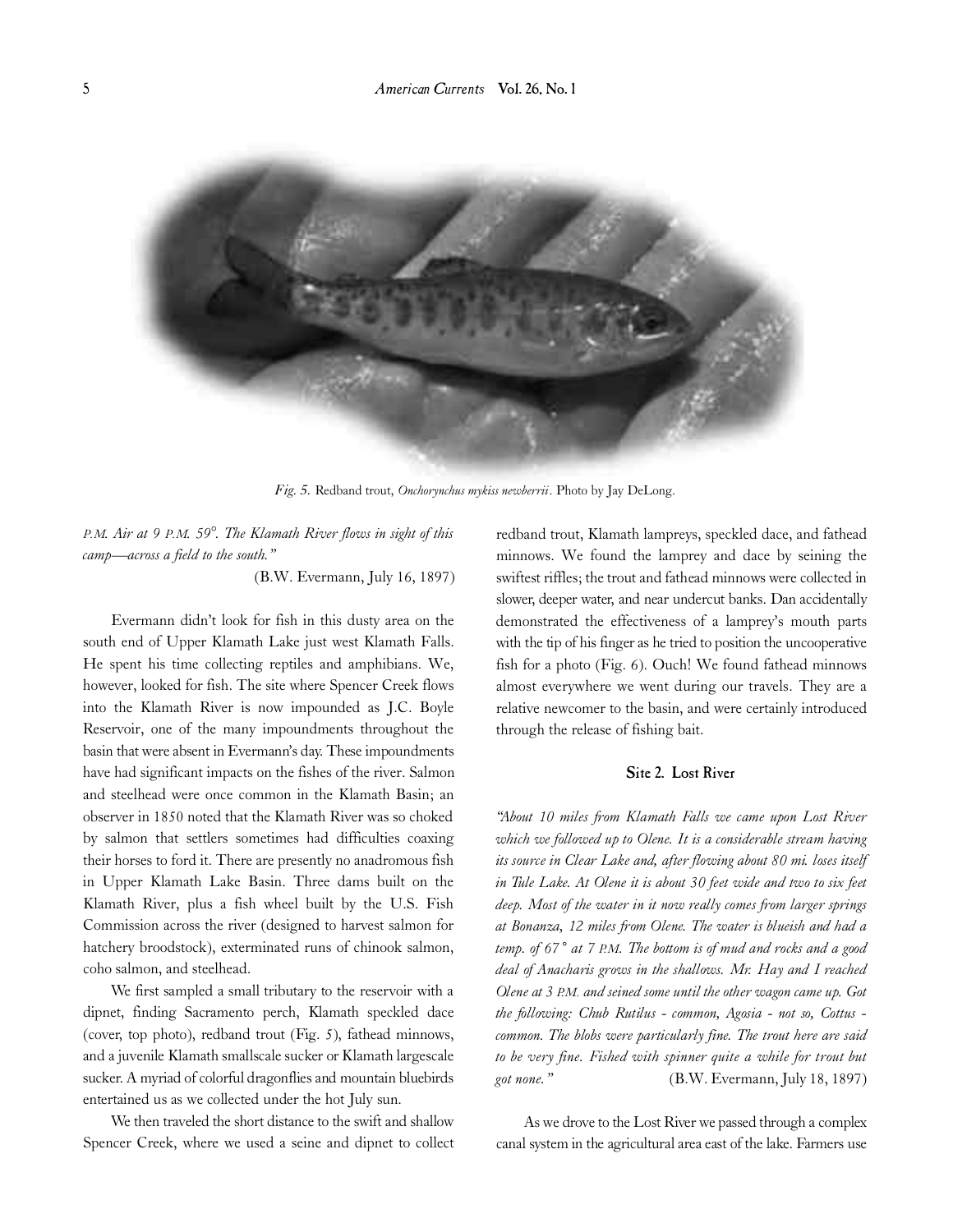

*Fig. 5.* Redband trout, *Onchorynchus mykiss newberrii*. Photo by Jay DeLong.

*P.M. Air at 9 P.M. 59°. The Klamath River flows in sight of this camp—across a field to the south."* 

(B.W. Evermann, July 16, 1897)

Evermann didn't look for fish in this dusty area on the south end of Upper Klamath Lake just west Klamath Falls. He spent his time collecting reptiles and amphibians. We, however, looked for fish. The site where Spencer Creek flows into the Klamath River is now impounded as J.C. Boyle Reservoir, one of the many impoundments throughout the basin that were absent in Evermann's day. These impoundments have had significant impacts on the fishes of the river. Salmon and steelhead were once common in the Klamath Basin; an observer in 1850 noted that the Klamath River was so choked by salmon that settlers sometimes had difficulties coaxing their horses to ford it. There are presently no anadromous fish in Upper Klamath Lake Basin. Three dams built on the Klamath River, plus a fish wheel built by the U.S. Fish Commission across the river (designed to harvest salmon for hatchery broodstock), exterminated runs of chinook salmon, coho salmon, and steelhead.

We first sampled a small tributary to the reservoir with a dipnet, finding Sacramento perch, Klamath speckled dace (cover, top photo), redband trout (Fig. 5), fathead minnows, and a juvenile Klamath smallscale sucker or Klamath largescale sucker. A myriad of colorful dragonflies and mountain bluebirds entertained us as we collected under the hot July sun.

We then traveled the short distance to the swift and shallow Spencer Creek, where we used a seine and dipnet to collect redband trout, Klamath lampreys, speckled dace, and fathead minnows. We found the lamprey and dace by seining the swiftest riffles; the trout and fathead minnows were collected in slower, deeper water, and near undercut banks. Dan accidentally demonstrated the effectiveness of a lamprey's mouth parts with the tip of his finger as he tried to position the uncooperative fish for a photo (Fig. 6). Ouch! We found fathead minnows almost everywhere we went during our travels. They are a relative newcomer to the basin, and were certainly introduced through the release of fishing bait.

# Site 2. Lost River

*"About 10 miles from Klamath Falls we came upon Lost River which we followed up to Olene. It is a considerable stream having* its source in Clear Lake and, after flowing about 80 mi. loses itself in Tule Lake. At Olene it is about 30 feet wide and two to six feet *deep. Most of the water in it now really comes from larger springs at Bonanza, 12 miles from Olene. The water is blueish and had a temp. of 67˚ at 7 P. M. The bottom is of mud and rocks and a good deal of Anacharis grows in the shallows. Mr. Hay and I reached Olene at 3 P. M. and seined some until the other wagon came up. Got the following: Chub Rutilus - common, Agosia - not so, Cottus common. The blobs were particularly fine. The trout here are said to be very fine. Fished with spinner quite a while for trout but got none."* (B.W. Evermann, July 18, 1897)

As we drove to the Lost River we passed through a complex canal system in the agricultural area east of the lake. Farmers use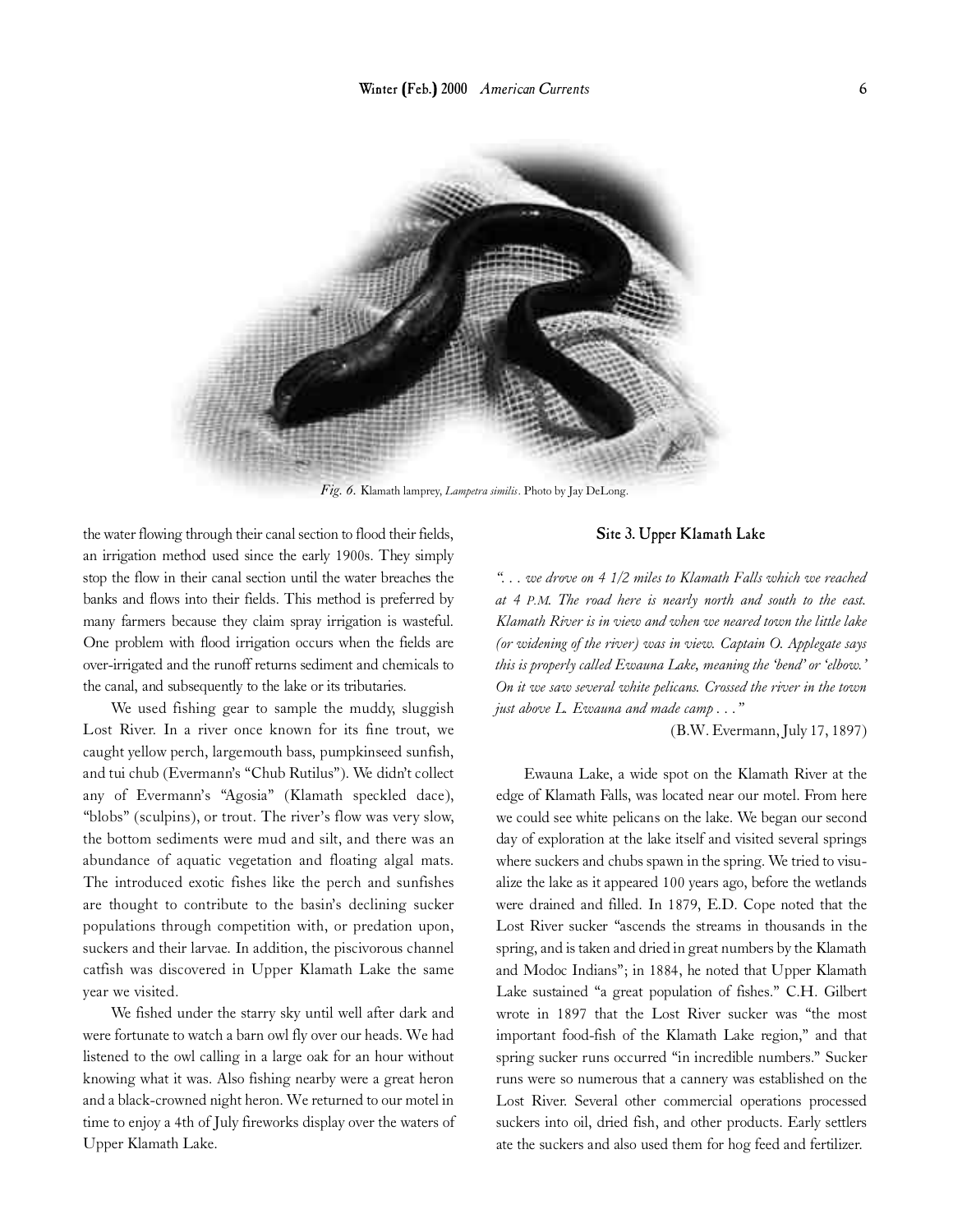

*Fig. 6.* Klamath lamprey, *Lampetra similis*. Photo by Jay DeLong.

the water flowing through their canal section to flood their fields, an irrigation method used since the early 1900s. They simply stop the flow in their canal section until the water breaches the banks and flows into their fields. This method is preferred by many farmers because they claim spray irrigation is wasteful. One problem with flood irrigation occurs when the fields are over-irrigated and the runoff returns sediment and chemicals to the canal, and subsequently to the lake or its tributaries.

We used fishing gear to sample the muddy, sluggish Lost River. In a river once known for its fine trout, we caught yellow perch, largemouth bass, pumpkinseed sunfish, and tui chub (Evermann's "Chub Rutilus"). We didn't collect any of Evermann's "Agosia" (Klamath speckled dace), "blobs" (sculpins), or trout. The river's flow was very slow, the bottom sediments were mud and silt, and there was an abundance of aquatic vegetation and floating algal mats. The introduced exotic fishes like the perch and sunfishes are thought to contribute to the basin's declining sucker populations through competition with, or predation upon, suckers and their larvae. In addition, the piscivorous channel catfish was discovered in Upper Klamath Lake the same year we visited.

We fished under the starry sky until well after dark and were fortunate to watch a barn owl fly over our heads. We had listened to the owl calling in a large oak for an hour without knowing what it was. Also fishing nearby were a great heron and a black-crowned night heron. We returned to our motel in time to enjoy a 4th of July fireworks display over the waters of Upper Klamath Lake.

# Site 3. Upper Klamath Lake

*". . . we drove on 4 1/2 miles to Klamath Falls which we reached at 4 P.M. The road here is nearly north and south to the east. Klamath River is in view and when we neared town the little lake (or widening of the river) was in view. Captain O. Applegate says this is properly called Ewauna Lake, meaning the 'bend' or 'elbow.' On it we saw several white pelicans. Crossed the river in the town just above L. Ewauna and made camp . . ."* 

(B.W. Evermann, July 17, 1897)

Ewauna Lake, a wide spot on the Klamath River at the edge of Klamath Falls, was located near our motel. From here we could see white pelicans on the lake. We began our second day of exploration at the lake itself and visited several springs where suckers and chubs spawn in the spring. We tried to visualize the lake as it appeared 100 years ago, before the wetlands were drained and filled. In 1879, E.D. Cope noted that the Lost River sucker "ascends the streams in thousands in the spring, and is taken and dried in great numbers by the Klamath and Modoc Indians"; in 1884, he noted that Upper Klamath Lake sustained "a great population of fishes." C.H. Gilbert wrote in 1897 that the Lost River sucker was "the most important food-fish of the Klamath Lake region," and that spring sucker runs occurred "in incredible numbers." Sucker runs were so numerous that a cannery was established on the Lost River. Several other commercial operations processed suckers into oil, dried fish, and other products. Early settlers ate the suckers and also used them for hog feed and fertilizer.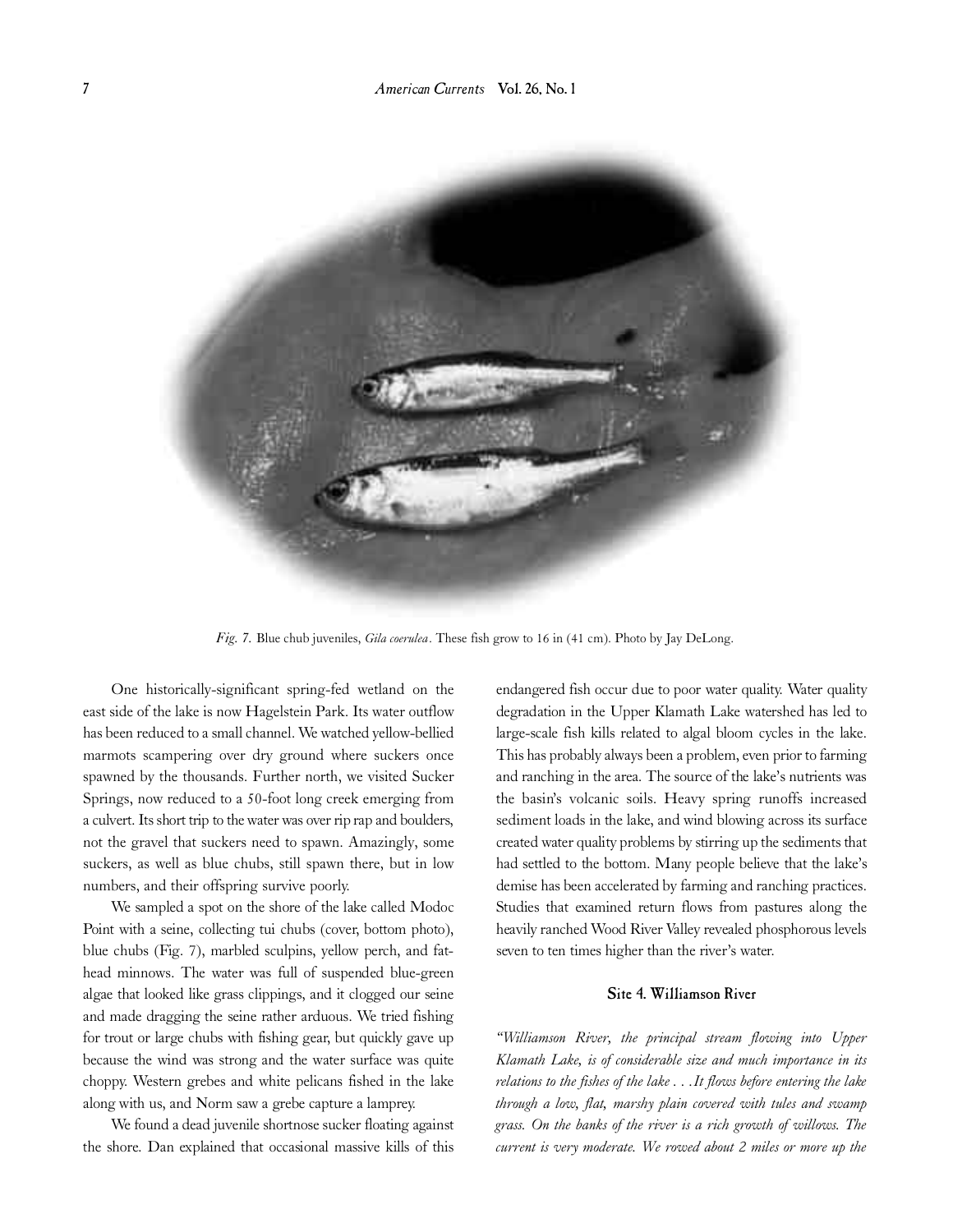

*Fig. 7.* Blue chub juveniles, *Gila coerulea*. These fish grow to 16 in (41 cm). Photo by Jay DeLong.

One historically-significant spring-fed wetland on the east side of the lake is now Hagelstein Park. Its water outflow has been reduced to a small channel. We watched yellow-bellied marmots scampering over dry ground where suckers once spawned by the thousands. Further north, we visited Sucker Springs, now reduced to a 50-foot long creek emerging from a culvert. Its short trip to the water was over rip rap and boulders, not the gravel that suckers need to spawn. Amazingly, some suckers, as well as blue chubs, still spawn there, but in low numbers, and their offspring survive poorly.

We sampled a spot on the shore of the lake called Modoc Point with a seine, collecting tui chubs (cover, bottom photo), blue chubs (Fig. 7), marbled sculpins, yellow perch, and fathead minnows. The water was full of suspended blue-green algae that looked like grass clippings, and it clogged our seine and made dragging the seine rather arduous. We tried fishing for trout or large chubs with fishing gear, but quickly gave up because the wind was strong and the water surface was quite choppy. Western grebes and white pelicans fished in the lake along with us, and Norm saw a grebe capture a lamprey.

We found a dead juvenile shortnose sucker floating against the shore. Dan explained that occasional massive kills of this endangered fish occur due to poor water quality. Water quality degradation in the Upper Klamath Lake watershed has led to large-scale fish kills related to algal bloom cycles in the lake . This has probably always been a problem, even prior to farming and ranching in the area. The source of the lake's nutrients was the basin's volcanic soils. Heavy spring runoffs increased sediment loads in the lake, and wind blowing across its surface created water quality problems by stirring up the sediments that had settled to the bottom. Many people believe that the lake's demise has been accelerated by farming and ranching practices. Studies that examined return flows from pastures along the heavily ranched Wood River Valley revealed phosphorous levels seven to ten times higher than the river's water.

# Site 4. Williamson River

*"Williamson River, the principal stream flowing into Upper Klamath Lake, is of considerable size and much importance in its relations to the fishes of the lake . . .It flows before entering the lake through a low, flat, marshy plain covered with tules and swamp grass. On the banks of the river is a rich growth of willows. The current is very moderate. We rowed about 2 miles or more up the*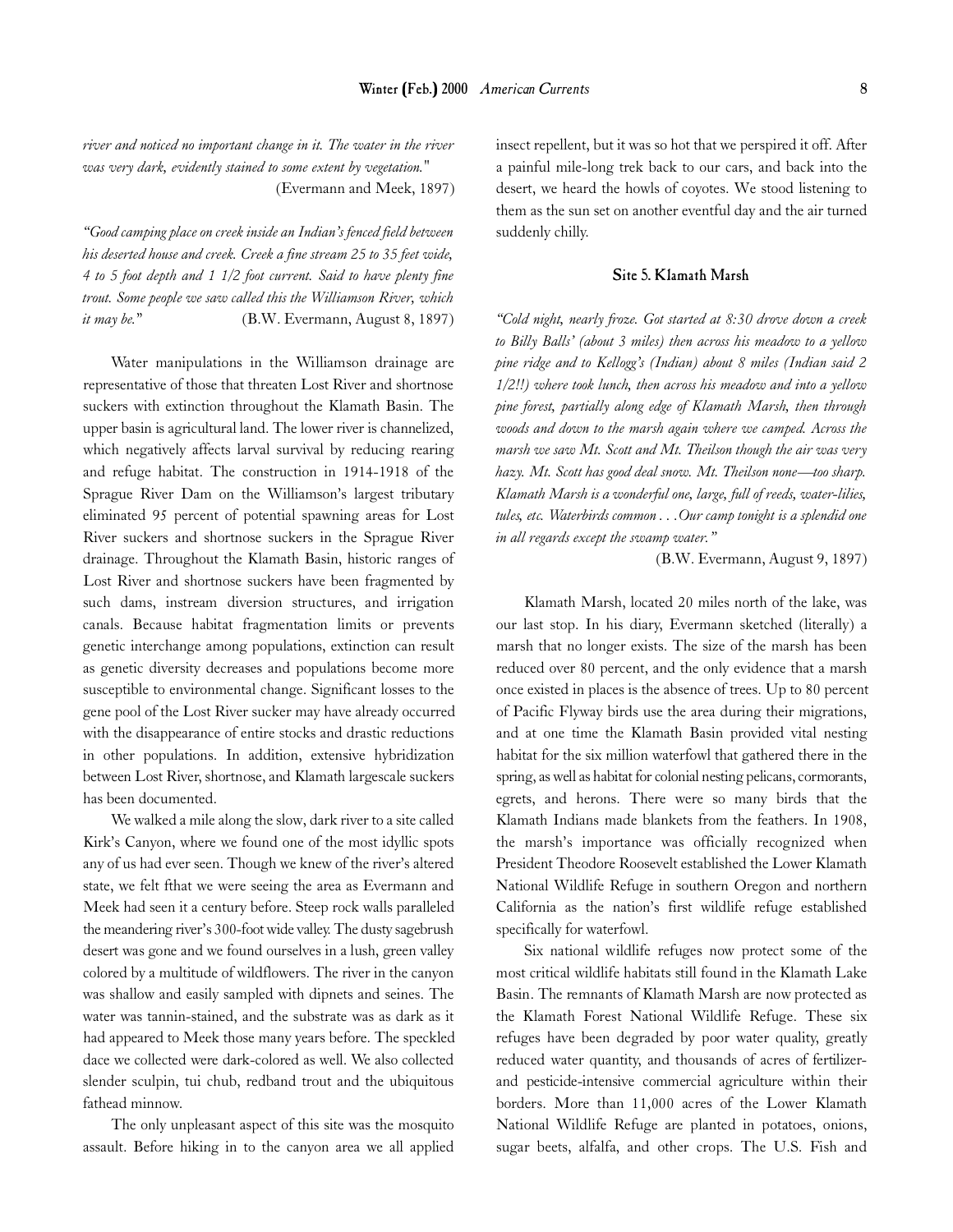*river and noticed no important change in it. The water in the river was very dark, evidently stained to some extent by vegetation."* (Evermann and Meek, 1897)

*"Good camping place on creek inside an Indian's fenced field between his deserted house and creek. Creek a fine stream 25 to 35 feet wide, 4 to 5 foot depth and 1 1/2 foot current. Said to have plenty fine trout. Some people we saw called this the Williamson River, which it may be.*" (B.W. Evermann, August 8, 1897)

Water manipulations in the Williamson drainage are representative of those that threaten Lost River and shortnose suckers with extinction throughout the Klamath Basin. The upper basin is agricultural land. The lower river is channelized, which negatively affects larval survival by reducing rearing and refuge habitat. The construction in 1914-1918 of the Sprague River Dam on the Williamson's largest tributary eliminated 95 percent of potential spawning areas for Lost River suckers and shortnose suckers in the Sprague River drainage. Throughout the Klamath Basin, historic ranges of Lost River and shortnose suckers have been fragmented by such dams, instream diversion structures, and irrigation canals. Because habitat fragmentation limits or prevents genetic interchange among populations, extinction can result as genetic diversity decreases and populations become more susceptible to environmental change. Significant losses to the gene pool of the Lost River sucker may have already occurred with the disappearance of entire stocks and drastic reductions in other populations. In addition, extensive hybridization between Lost River, shortnose, and Klamath largescale suckers has been documented.

We walked a mile along the slow, dark river to a site called Kirk's Canyon, where we found one of the most idyllic spots any of us had ever seen. Though we knew of the river's altered state, we felt fthat we were seeing the area as Evermann and Meek had seen it a century before. Steep rock walls paralleled the meandering river's 300-foot wide valley. The dusty sagebrush desert was gone and we found ourselves in a lush, green valley colored by a multitude of wildflowers. The river in the canyon was shallow and easily sampled with dipnets and seines. The water was tannin-stained, and the substrate was as dark as it had appeared to Meek those many years before. The speckled dace we collected were dark-colored as well. We also collected slender sculpin, tui chub, redband trout and the ubiquitous fathead minnow.

The only unpleasant aspect of this site was the mosquito assault. Before hiking in to the canyon area we all applied insect repellent, but it was so hot that we perspired it off. After a painful mile-long trek back to our cars, and back into the desert, we heard the howls of coyotes. We stood listening to them as the sun set on another eventful day and the air turned suddenly chilly.

# Site 5. Klamath Marsh

*"Cold night, nearly froze. Got started at 8:30 drove down a creek to Billy Balls' (about 3 miles) then across his meadow to a yellow pine ridge and to Kellogg's (Indian) about 8 miles (Indian said 2 1/2!!) where took lunch, then across his meadow and into a yellow pine forest, partially along edge of Klamath Marsh, then through woods and down to the marsh again where we camped. Across the marsh we saw Mt. Scott and Mt. Theilson though the air was very hazy. Mt. Scott has good deal snow. Mt. Theilson none—too sharp. Klamath Marsh is a wonderful one, large, full of reeds, water-lilies, tules, etc. Waterbirds common . . .Our camp tonight is a splendid one in all regards except the swamp water."*

(B.W. Evermann, August 9, 1897)

Klamath Marsh, located 20 miles north of the lake, was our last stop. In his diary, Evermann sketched (literally) a marsh that no longer exists. The size of the marsh has been reduced over 80 percent, and the only evidence that a marsh once existed in places is the absence of trees. Up to 80 percent of Pacific Flyway birds use the area during their migrations, and at one time the Klamath Basin provided vital nesting habitat for the six million waterfowl that gathered there in the spring, as well as habitat for colonial nesting pelicans, cormorants, egrets, and herons. There were so many birds that the Klamath Indians made blankets from the feathers. In 1908, the marsh's importance was officially recognized when President Theodore Roosevelt established the Lower Klamath National Wildlife Refuge in southern Oregon and northern California as the nation's first wildlife refuge established specifically for waterfowl.

Six national wildlife refuges now protect some of the most critical wildlife habitats still found in the Klamath Lake Basin. The remnants of Klamath Marsh are now protected as the Klamath Forest National Wildlife Refuge. These six refuges have been degraded by poor water quality, greatly reduced water quantity, and thousands of acres of fertilizerand pesticide-intensive commercial agriculture within their borders. More than 11,000 acres of the Lower Klamath National Wildlife Refuge are planted in potatoes, onions, sugar beets, alfalfa, and other crops. The U.S. Fish and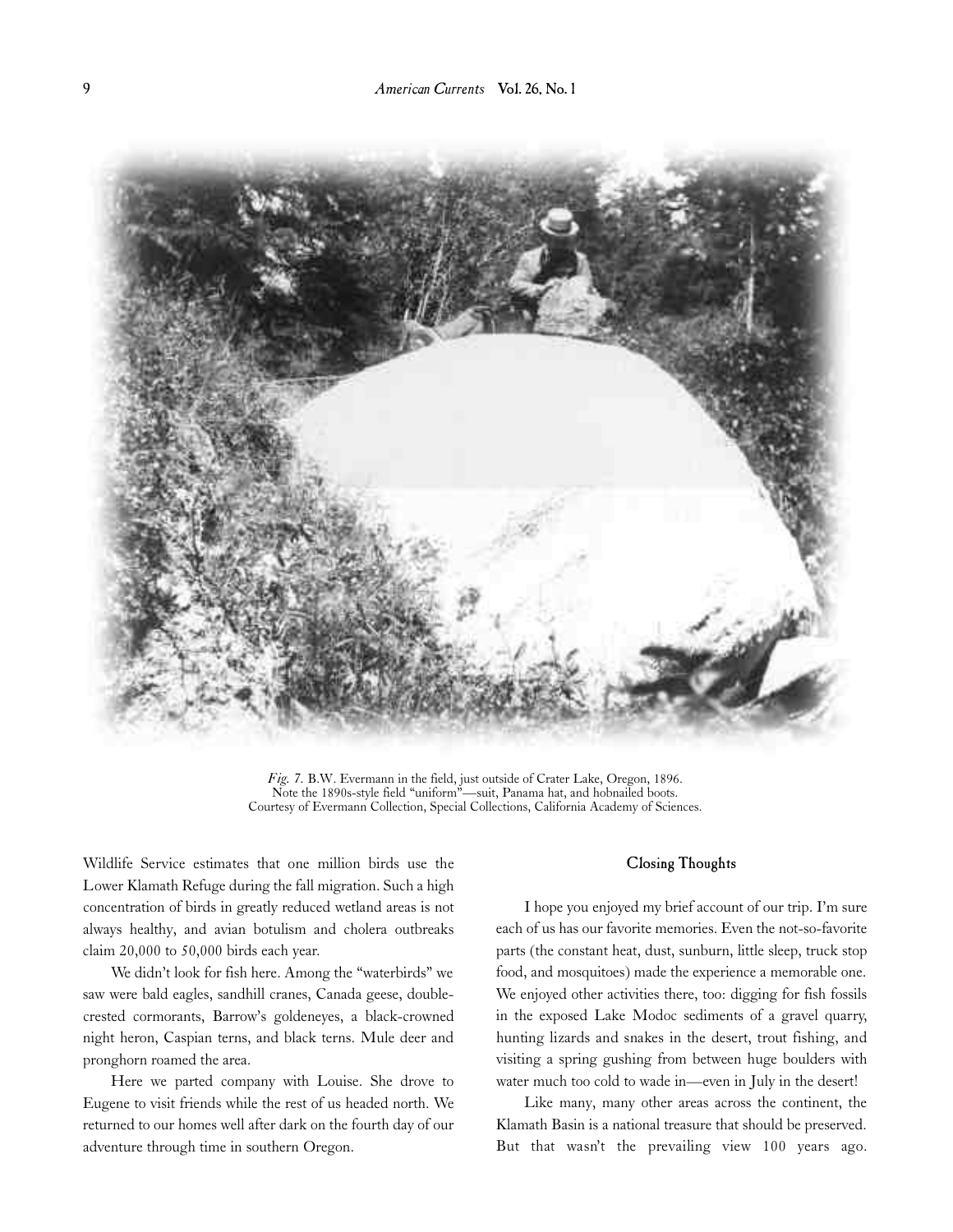

*Fig. 7.* B.W. Evermann in the field, just outside of Crater Lake, Oregon, 1896. Note the 1890s-style field "uniform"—suit, Panama hat, and hobnailed boots. Courtesy of Evermann Collection, Special Collections, California Academy of Sciences.

Wildlife Service estimates that one million birds use the Lower Klamath Refuge during the fall migration. Such a high concentration of birds in greatly reduced wetland areas is not always healthy, and avian botulism and cholera outbreaks claim 20,000 to 50,000 birds each year.

We didn't look for fish here. Among the "waterbirds" we saw were bald eagles, sandhill cranes, Canada geese, doublecrested cormorants, Barrow's goldeneyes, a black-crowned night heron, Caspian terns, and black terns. Mule deer and pronghorn roamed the area.

Here we parted company with Louise. She drove to Eugene to visit friends while the rest of us headed north. We returned to our homes well after dark on the fourth day of our adventure through time in southern Oregon.

# Closing Thoughts

I hope you enjoyed my brief account of our trip. I'm sure each of us has our favorite memories. Even the not-so-favorite parts (the constant heat, dust, sunburn, little sleep, truck stop food, and mosquitoes) made the experience a memorable one. We enjoyed other activities there, too: digging for fish fossils in the exposed Lake Modoc sediments of a gravel quarry, hunting lizards and snakes in the desert, trout fishing, and visiting a spring gushing from between huge boulders with water much too cold to wade in—even in July in the desert!

Like many, many other areas across the continent, the Klamath Basin is a national treasure that should be preserved. But that wasn't the prevailing view 100 years ago.